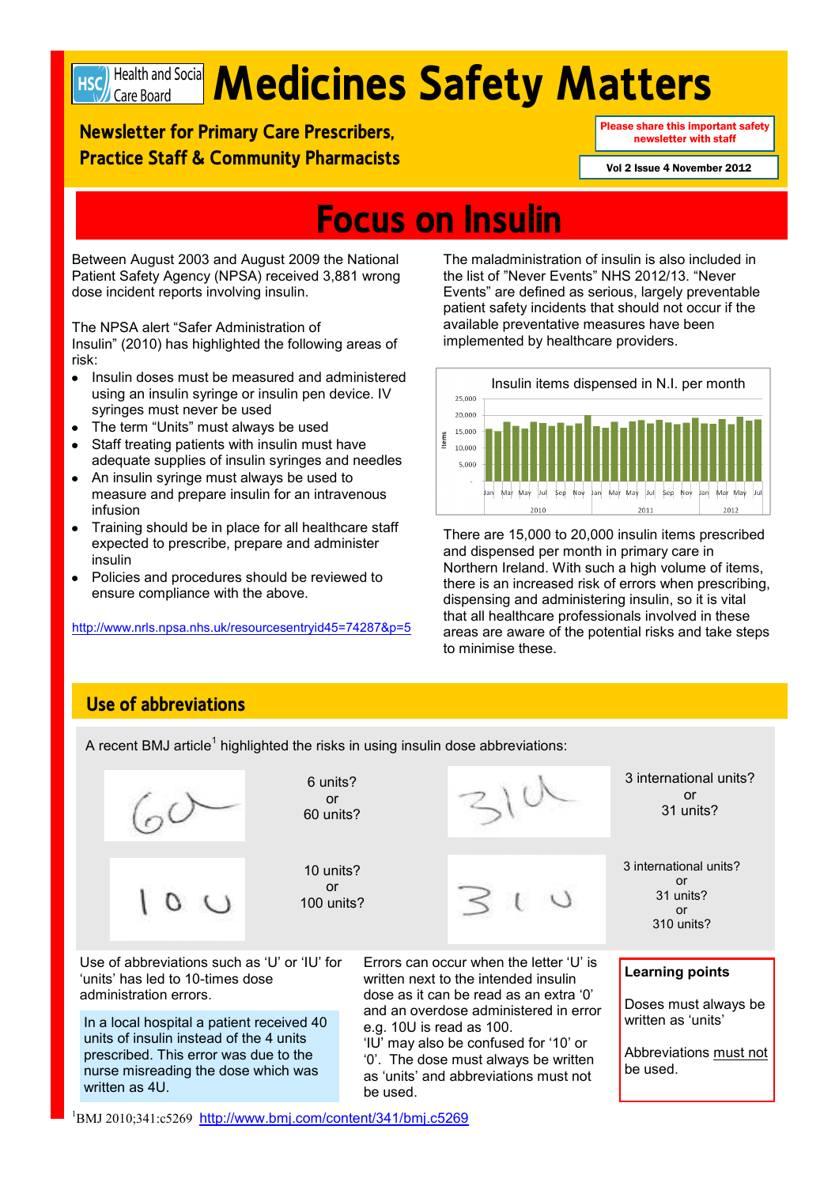

# **Mediciple and Social Medicines Safety Matters**

**Newsletter for Primary Care Prescribers, Practice Staff & Community Pharmacists** Please share this important safety newsletter with staff

Vol 2 Issue 4 November 2012

## **Focus on Insulin**

Between August 2003 and August 2009 the National Patient Safety Agency (NPSA) received 3,881 wrong dose incident reports involving insulin.

The NPSA alert "Safer Administration of Insulin" (2010) has highlighted the following areas of risk:

- Insulin doses must be measured and administered  $\bullet$ using an insulin syringe or insulin pen device. IV syringes must never be used
- The term "Units" must always be used
- Staff treating patients with insulin must have  $\bullet$ adequate supplies of insulin syringes and needles
- An insulin syringe must always be used to measure and prepare insulin for an intravenous infusion
- $\bullet$ Training should be in place for all healthcare staff expected to prescribe, prepare and administer insulin
- Policies and procedures should be reviewed to  $\bullet$ ensure compliance with the above.

[h](http://www.nrls.npsa.nhs.uk/resources/?entryid45=74287&p=5)ttp://www.nrls.npsa.nhs.uk/resourcesentryid45=74287&p=5

The maladministration of insulin is also included in the list of "Never Events" NHS 2012/13. "Never Events" are defined as serious, largely preventable patient safety incidents that should not occur if the available preventative measures have been implemented by healthcare providers.



There are 15,000 to 20,000 insulin items prescribed and dispensed per month in primary care in Northern Ireland. With such a high volume of items, there is an increased risk of errors when prescribing, dispensing and administering insulin, so it is vital that all healthcare professionals involved in these areas are aware of the potential risks and take steps to minimise these.

**Learning points**

be used.

Doses must always be written as 'units'

3 international units? or 31 units?

3 international units? or 31 units? or 310 units?

Abbreviations must not

## **Use of abbreviations**

A recent BMJ article<sup>1</sup> highlighted the risks in using insulin dose abbreviations:



In a local hospital a patient received 40 units of insulin instead of the 4 units prescribed. This error was due to the nurse misreading the dose which was written as 4U.

Errors can occur when the letter "U" is written next to the intended insulin dose as it can be read as an extra "0" and an overdose administered in error e.g. 10U is read as 100. "IU" may also be confused for "10" or

"0". The dose must always be written as "units" and abbreviations must not be used.

<sup>1</sup>BMJ 2010;341:c5269 <http://www.bmj.com/content/341/bmj.c5269>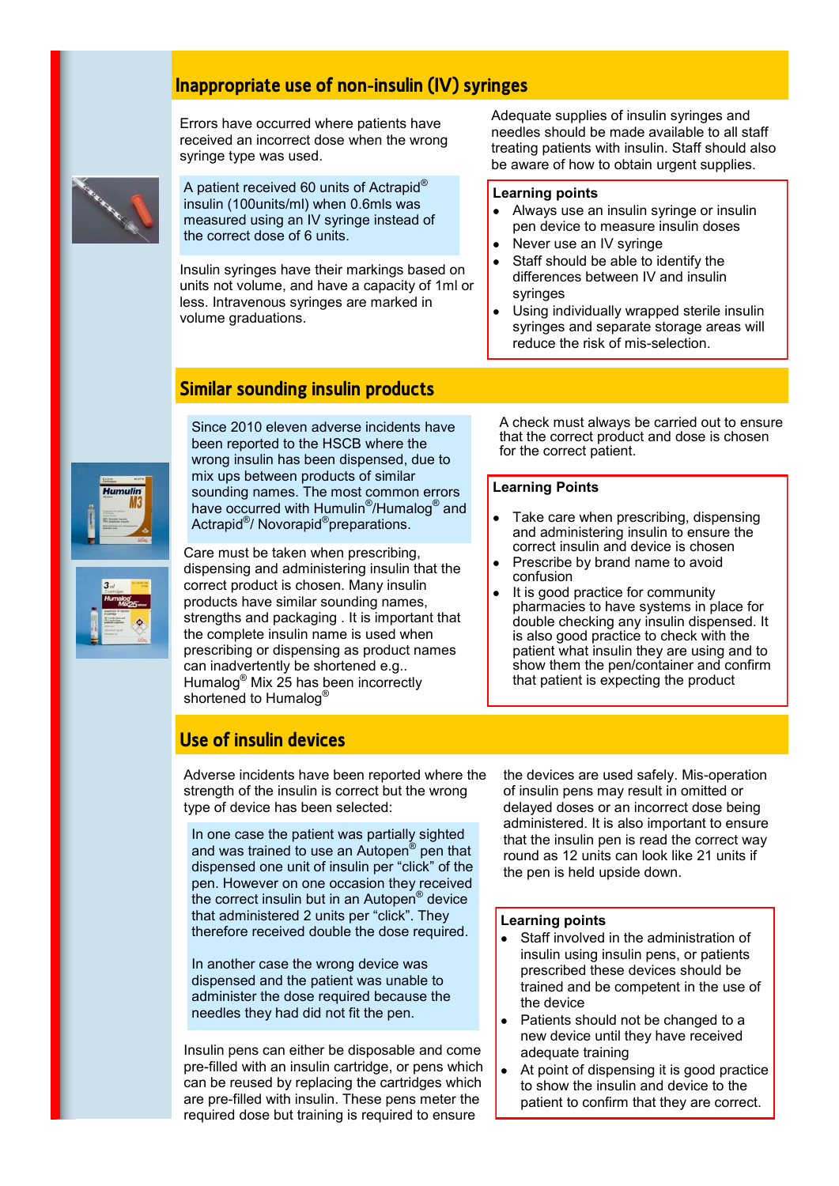## **Inappropriate use of non-insulin (IV) syringes**

Errors have occurred where patients have received an incorrect dose when the wrong syringe type was used.



A patient received 60 units of Actrapid® insulin (100units/ml) when 0.6mls was measured using an IV syringe instead of the correct dose of 6 units.

Insulin syringes have their markings based on units not volume, and have a capacity of 1ml or less. Intravenous syringes are marked in volume graduations.

Adequate supplies of insulin syringes and needles should be made available to all staff treating patients with insulin. Staff should also be aware of how to obtain urgent supplies.

#### **Learning points**

- Always use an insulin syringe or insulin  $\bullet$ pen device to measure insulin doses
- Never use an IV syringe
- Staff should be able to identify the differences between IV and insulin syringes
- Using individually wrapped sterile insulin syringes and separate storage areas will reduce the risk of mis-selection.

## **Similar sounding insulin products**

Since 2010 eleven adverse incidents have been reported to the HSCB where the wrong insulin has been dispensed, due to mix ups between products of similar sounding names. The most common errors have occurred with Humulin<sup>®</sup>/Humalog<sup>®</sup> and Actrapid<sup>®</sup>/ Novorapid<sup>®</sup>preparations.

Care must be taken when prescribing, dispensing and administering insulin that the correct product is chosen. Many insulin products have similar sounding names, strengths and packaging . It is important that the complete insulin name is used when prescribing or dispensing as product names can inadvertently be shortened e.g.. Humalog® Mix 25 has been incorrectly shortened to Humalog<sup>®</sup>

A check must always be carried out to ensure that the correct product and dose is chosen for the correct patient.

#### **Learning Points**

- Take care when prescribing, dispensing and administering insulin to ensure the correct insulin and device is chosen
- Prescribe by brand name to avoid confusion
- It is good practice for community pharmacies to have systems in place for double checking any insulin dispensed. It is also good practice to check with the patient what insulin they are using and to show them the pen/container and confirm that patient is expecting the product

## **Use of insulin devices**

Adverse incidents have been reported where the strength of the insulin is correct but the wrong type of device has been selected:

In one case the patient was partially sighted and was trained to use an Autopen<sup>®</sup> pen that dispensed one unit of insulin per "click" of the pen. However on one occasion they received the correct insulin but in an Autopen® device that administered 2 units per "click". They therefore received double the dose required.

In another case the wrong device was dispensed and the patient was unable to administer the dose required because the needles they had did not fit the pen.

Insulin pens can either be disposable and come pre-filled with an insulin cartridge, or pens which can be reused by replacing the cartridges which are pre-filled with insulin. These pens meter the required dose but training is required to ensure

the devices are used safely. Mis-operation of insulin pens may result in omitted or delayed doses or an incorrect dose being administered. It is also important to ensure that the insulin pen is read the correct way round as 12 units can look like 21 units if the pen is held upside down.

#### **Learning points**

- Staff involved in the administration of insulin using insulin pens, or patients prescribed these devices should be trained and be competent in the use of the device
- Patients should not be changed to a new device until they have received adequate training
- At point of dispensing it is good practice to show the insulin and device to the patient to confirm that they are correct.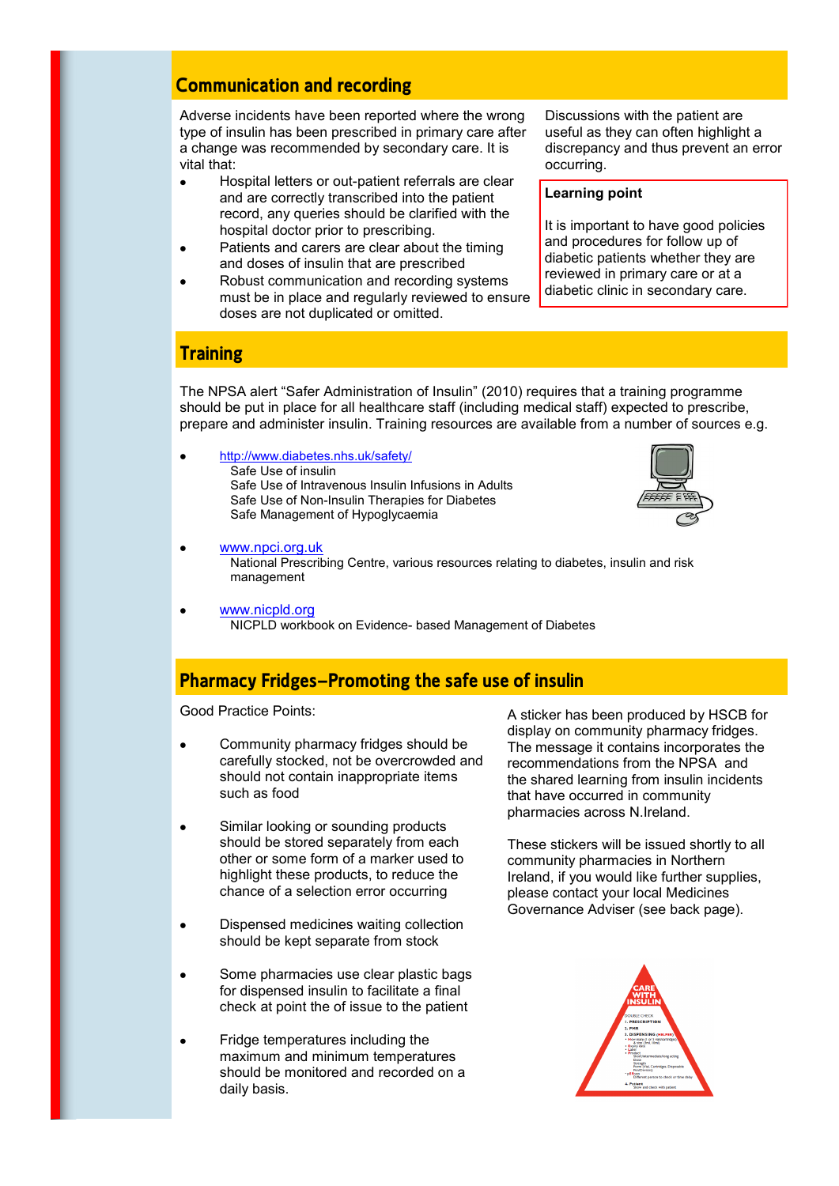### **Communication and recording**

Adverse incidents have been reported where the wrong type of insulin has been prescribed in primary care after a change was recommended by secondary care. It is vital that:

- Hospital letters or out-patient referrals are clear and are correctly transcribed into the patient record, any queries should be clarified with the hospital doctor prior to prescribing.
- Patients and carers are clear about the timing  $\bullet$ and doses of insulin that are prescribed
- Robust communication and recording systems must be in place and regularly reviewed to ensure doses are not duplicated or omitted.

Discussions with the patient are useful as they can often highlight a discrepancy and thus prevent an error occurring.

#### **Learning point**

It is important to have good policies and procedures for follow up of diabetic patients whether they are reviewed in primary care or at a diabetic clinic in secondary care.

#### **Training**

 $\bullet$ 

The NPSA alert "Safer Administration of Insulin" (2010) requires that a training programme should be put in place for all healthcare staff (including medical staff) expected to prescribe, prepare and administer insulin. Training resources are available from a number of sources e.g.

<http://www.diabetes.nhs.uk/safety/> Safe Use of insulin Safe Use of Intravenous Insulin Infusions in Adults Safe Use of Non-Insulin Therapies for Diabetes Safe Management of Hypoglycaemia



- $\bullet$ [www.npci.org.uk](http://www.npci.org.uk/) National Prescribing Centre, various resources relating to diabetes, insulin and risk management
- [www.nicpld.org](http://www.nicpld.org/) NICPLD workbook on Evidence- based Management of Diabetes

#### **Pharmacy Fridges—Promoting the safe use of insulin**

Good Practice Points:

- Community pharmacy fridges should be carefully stocked, not be overcrowded and should not contain inappropriate items such as food
- Similar looking or sounding products  $\bullet$ should be stored separately from each other or some form of a marker used to highlight these products, to reduce the chance of a selection error occurring
- Dispensed medicines waiting collection  $\bullet$ should be kept separate from stock
- Some pharmacies use clear plastic bags  $\bullet$ for dispensed insulin to facilitate a final check at point the of issue to the patient
- Fridge temperatures including the maximum and minimum temperatures should be monitored and recorded on a daily basis.

A sticker has been produced by HSCB for display on community pharmacy fridges. The message it contains incorporates the recommendations from the NPSA and the shared learning from insulin incidents that have occurred in community pharmacies across N.Ireland.

These stickers will be issued shortly to all community pharmacies in Northern Ireland, if you would like further supplies, please contact your local Medicines Governance Adviser (see back page).